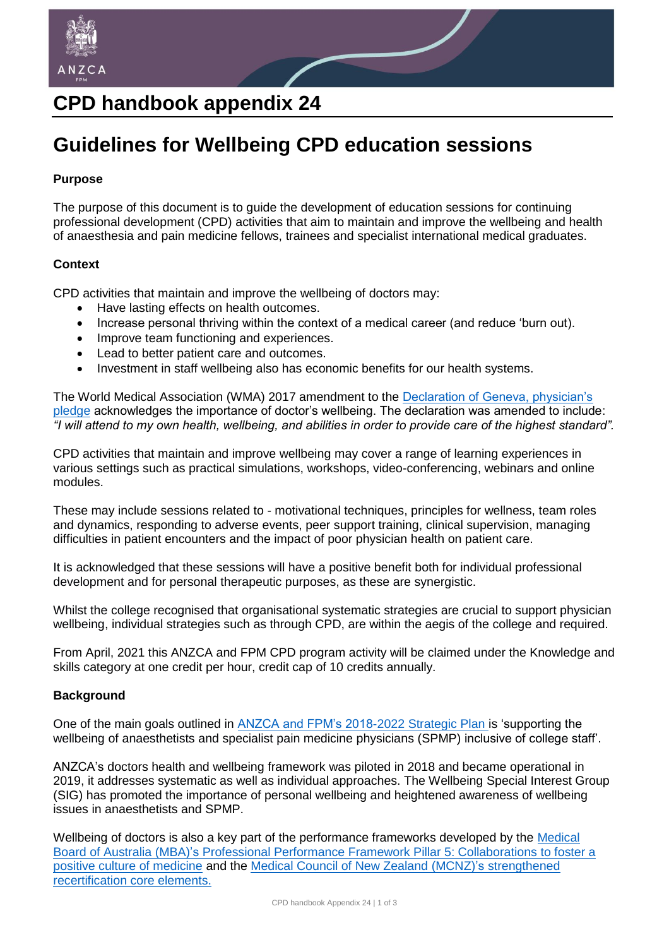

## **CPD handbook appendix 24**

# **Guidelines for Wellbeing CPD education sessions**

## **Purpose**

The purpose of this document is to guide the development of education sessions for continuing professional development (CPD) activities that aim to maintain and improve the wellbeing and health of anaesthesia and pain medicine fellows, trainees and specialist international medical graduates.

## **Context**

CPD activities that maintain and improve the wellbeing of doctors may:

- Have lasting effects on health outcomes.
- Increase personal thriving within the context of a medical career (and reduce 'burn out).
- Improve team functioning and experiences.
- Lead to better patient care and outcomes.
- Investment in staff wellbeing also has economic benefits for our health systems.

The World Medical Association (WMA) 2017 amendment to the [Declaration of Geneva, physician's](https://www.wma.net/policies-post/wma-declaration-of-geneva/)  [pledge](https://www.wma.net/policies-post/wma-declaration-of-geneva/) acknowledges the importance of doctor's wellbeing. The declaration was amended to include: *"I will attend to my own health, wellbeing, and abilities in order to provide care of the highest standard".*

CPD activities that maintain and improve wellbeing may cover a range of learning experiences in various settings such as practical simulations, workshops, video-conferencing, webinars and online modules.

These may include sessions related to - motivational techniques, principles for wellness, team roles and dynamics, responding to adverse events, peer support training, clinical supervision, managing difficulties in patient encounters and the impact of poor physician health on patient care.

It is acknowledged that these sessions will have a positive benefit both for individual professional development and for personal therapeutic purposes, as these are synergistic.

Whilst the college recognised that organisational systematic strategies are crucial to support physician wellbeing, individual strategies such as through CPD, are within the aegis of the college and required.

From April, 2021 this ANZCA and FPM CPD program activity will be claimed under the Knowledge and skills category at one credit per hour, credit cap of 10 credits annually.

#### **Background**

One of the main goals outlined in [ANZCA and FPM's 2018-2022 Strategic Plan](https://www.anzca.edu.au/getattachment/30555327-66ff-44a7-be26-f8bc958cd5f0/ANZCA-Strategic-Plan-2018-2022#page=) is 'supporting the wellbeing of anaesthetists and specialist pain medicine physicians (SPMP) inclusive of college staff'.

ANZCA's doctors health and wellbeing framework was piloted in 2018 and became operational in 2019, it addresses systematic as well as individual approaches. The Wellbeing Special Interest Group (SIG) has promoted the importance of personal wellbeing and heightened awareness of wellbeing issues in anaesthetists and SPMP.

Wellbeing of doctors is also a key part of the performance frameworks developed by the [Medical](https://www.medicalboard.gov.au/registration/professional-performance-framework.aspx)  Board of Australia [\(MBA\)'s Professional Performance Framework Pillar 5: Collaborations to foster a](https://www.medicalboard.gov.au/registration/professional-performance-framework.aspx)  [positive culture of medicine](https://www.medicalboard.gov.au/registration/professional-performance-framework.aspx) and the [Medical Council of New Zealand](https://www.mcnz.org.nz/registration/maintain-or-renew-registration/recertification-and-professional-development/recertification-for-doctors-on-a-vocational-scope-of-practice/) (MCNZ)'s strengthened [recertification core elements.](https://www.mcnz.org.nz/registration/maintain-or-renew-registration/recertification-and-professional-development/recertification-for-doctors-on-a-vocational-scope-of-practice/)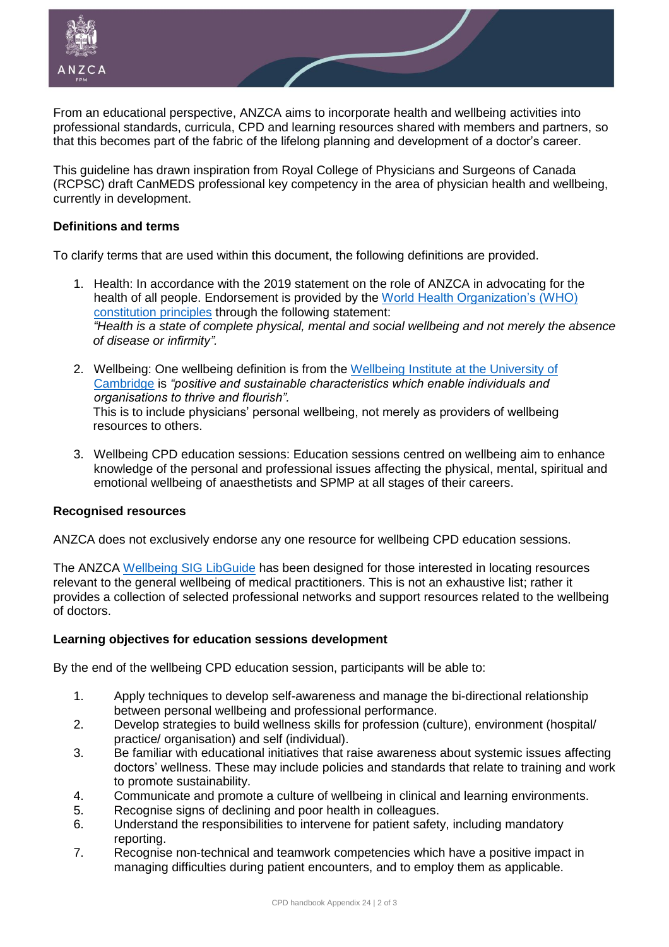

From an educational perspective, ANZCA aims to incorporate health and wellbeing activities into professional standards, curricula, CPD and learning resources shared with members and partners, so that this becomes part of the fabric of the lifelong planning and development of a doctor's career.

This guideline has drawn inspiration from Royal College of Physicians and Surgeons of Canada (RCPSC) draft CanMEDS professional key competency in the area of physician health and wellbeing, currently in development.

#### **Definitions and terms**

To clarify terms that are used within this document, the following definitions are provided.

- 1. Health: In accordance with the 2019 statement on the role of ANZCA in advocating for the health of all people. Endorsement is provided by the [World Health Organization's \(WHO\)](https://www.who.int/governance/eb/who_constitution_en.pdf)  [constitution principles](https://www.who.int/governance/eb/who_constitution_en.pdf) through the following statement: *"Health is a state of complete physical, mental and social wellbeing and not merely the absence of disease or infirmity".*
- 2. Wellbeing: One wellbeing definition is from the [Wellbeing Institute at the University of](https://www.cambridgewellbeing.org/)  [Cambridge](https://www.cambridgewellbeing.org/) is *"positive and sustainable characteristics which enable individuals and organisations to thrive and flourish".* This is to include physicians' personal wellbeing, not merely as providers of wellbeing resources to others.
- 3. Wellbeing CPD education sessions: Education sessions centred on wellbeing aim to enhance knowledge of the personal and professional issues affecting the physical, mental, spiritual and emotional wellbeing of anaesthetists and SPMP at all stages of their careers.

#### **Recognised resources**

ANZCA does not exclusively endorse any one resource for wellbeing CPD education sessions.

The ANZCA Wellbeing [SIG LibGuide](http://libguides.anzca.edu.au/wellbeing) has been designed for those interested in locating resources relevant to the general wellbeing of medical practitioners. This is not an exhaustive list; rather it provides a collection of selected professional networks and support resources related to the wellbeing of doctors.

#### **Learning objectives for education sessions development**

By the end of the wellbeing CPD education session, participants will be able to:

- 1. Apply techniques to develop self-awareness and manage the bi-directional relationship between personal wellbeing and professional performance.
- 2. Develop strategies to build wellness skills for profession (culture), environment (hospital/ practice/ organisation) and self (individual).
- 3. Be familiar with educational initiatives that raise awareness about systemic issues affecting doctors' wellness. These may include policies and standards that relate to training and work to promote sustainability.
- 4. Communicate and promote a culture of wellbeing in clinical and learning environments.
- 5. Recognise signs of declining and poor health in colleagues.
- 6. Understand the responsibilities to intervene for patient safety, including mandatory reporting.
- 7. Recognise non-technical and teamwork competencies which have a positive impact in managing difficulties during patient encounters, and to employ them as applicable.